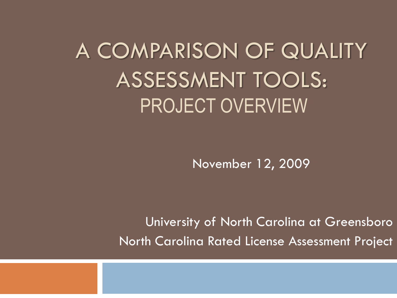A COMPARISON OF QUALITY ASSESSMENT TOOLS: PROJECT OVERVIEW

November 12, 2009

University of North Carolina at Greensboro North Carolina Rated License Assessment Project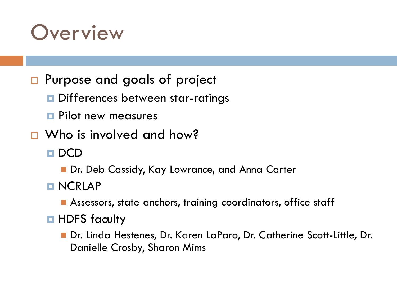### **Overview**

- □ Purpose and goals of project
	- D Differences between star-ratings
	- **Pilot new measures**
- □ Who is involved and how?
	- **DCD** 
		- Dr. Deb Cassidy, Kay Lowrance, and Anna Carter
	- **NCRLAP** 
		- **Assessors, state anchors, training coordinators, office staff**
	- **HDFS** faculty
		- Dr. Linda Hestenes, Dr. Karen LaParo, Dr. Catherine Scott-Little, Dr. Danielle Crosby, Sharon Mims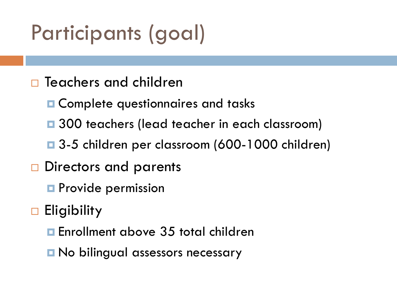# Participants (goal)

- $\Box$  Teachers and children
	- **Q** Complete questionnaires and tasks
	- **□** 300 teachers (lead teacher in each classroom)
	- 3-5 children per classroom (600-1000 children)
- □ Directors and parents
	- **Provide permission**
- **Eligibility** 
	- Enrollment above 35 total children
	- **□ No bilingual assessors necessary**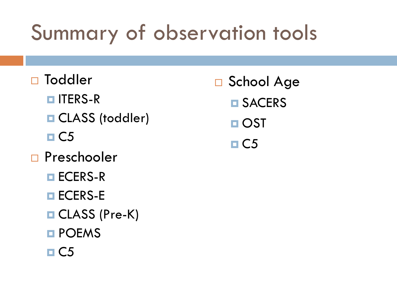# Summary of observation tools

- □ Toddler
	- **ITERS-R**
	- **Q** CLASS (toddler)
	- $\Box$ C5
- □ Preschooler
	- **□ ECERS-R**
	- **ECERS-E**
	- **□ CLASS (Pre-K)**
	- **E** POEMS
	- $\Box$ C5
- □ School Age **D** SACERS
	- **□ OST**
	- $\Box$  C5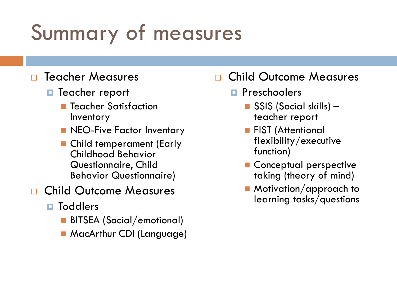# Summary of measures

#### Teacher Measures

- **T** Teacher report
	- **T** Teacher Satisfaction Inventory
	- **NEO-Five Factor Inventory**
	- Child temperament (Early Childhood Behavior Questionnaire, Child Behavior Questionnaire)
- Child Outcome Measures
	- **<u>n</u>** Toddlers
		- **BITSEA (Social/emotional)**
		- **MacArthur CDI (Language)**

### Child Outcome Measures

- **Preschoolers** 
	- SSIS (Social skills) teacher report
	- **FIST (Attentional** flexibility/executive function)
	- **Conceptual perspective** taking (theory of mind)
	- Motivation/approach to learning tasks/questions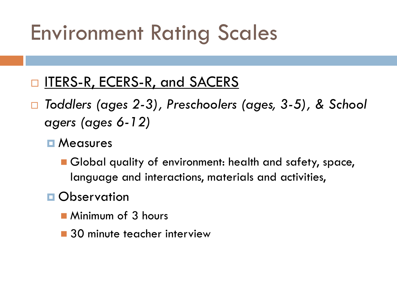## Environment Rating Scales

- ITERS-R, ECERS-R, and SACERS
- *Toddlers (ages 2-3), Preschoolers (ages, 3-5), & School agers (ages 6-12)*
	- **D** Measures
		- Global quality of environment: health and safety, space, language and interactions, materials and activities,
	- **Observation** 
		- **Minimum of 3 hours**
		- 30 minute teacher interview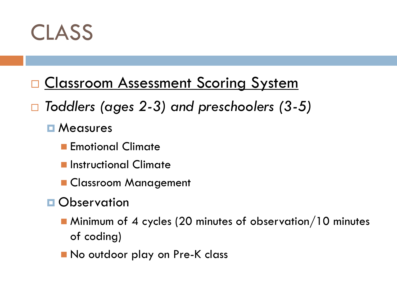

- **D** Classroom Assessment Scoring System
- *Toddlers (ages 2-3) and preschoolers (3-5)*

**D** Measures

- **Emotional Climate**
- **E** Instructional Climate
- **Classroom Management**
- **Observation** 
	- **Minimum of 4 cycles (20 minutes of observation/10 minutes** of coding)
	- No outdoor play on Pre-K class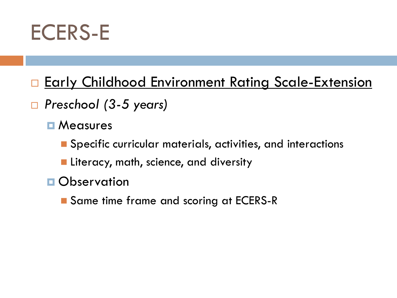

- **Early Childhood Environment Rating Scale-Extension**
- *Preschool (3-5 years)*
	- **D** Measures
		- Specific curricular materials, activities, and interactions
		- **Literacy, math, science, and diversity**
	- **D** Observation
		- Same time frame and scoring at ECERS-R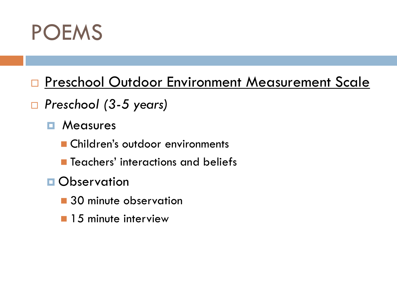

- **Preschool Outdoor Environment Measurement Scale**
- *Preschool (3-5 years)*
	- **E** Measures
		- **Children's outdoor environments**
		- **Teachers' interactions and beliefs**
	- **Observation** 
		- 30 minute observation
		- **15 minute interview**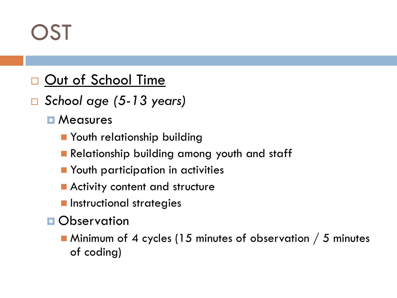# **DST**

### Out of School Time

- *School age (5-13 years)*
	- **D** Measures
		- **Nouth relationship building**
		- **Relationship building among youth and staff**
		- **Nouth participation in activities**
		- **Activity content and structure**
		- **n** Instructional strategies
	- **Observation** 
		- Minimum of 4 cycles (15 minutes of observation / 5 minutes of coding)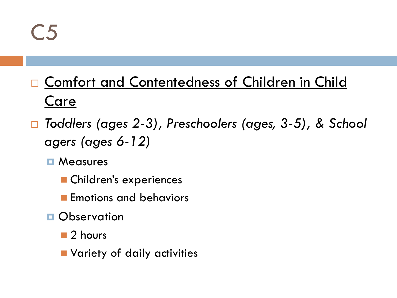C5

### □ Comfort and Contentedness of Children in Child Care

- *Toddlers (ages 2-3), Preschoolers (ages, 3-5), & School agers (ages 6-12)*
	- **D** Measures
		- **Children's experiences**
		- **Exercise** Emotions and behaviors
	- **D** Observation
		- 2 hours
		- **Namilary of daily activities**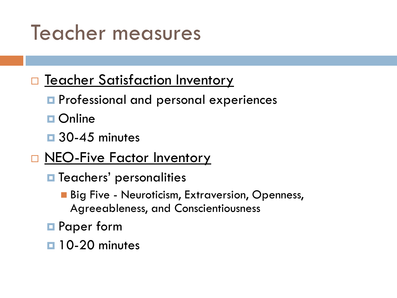## Teacher measures

### **T** Teacher Satisfaction Inventory

- **P** Professional and personal experiences
- **□ Online**
- $\Box$  30-45 minutes
- **NEO-Five Factor Inventory** 
	- $\blacksquare$  Teachers' personalities
		- **Big Five Neuroticism, Extraversion, Openness,** Agreeableness, and Conscientiousness
	- **□** Paper form
	- **10-20 minutes**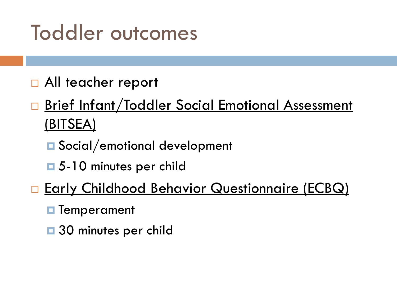## Toddler outcomes

- □ All teacher report
- □ Brief Infant/Toddler Social Emotional Assessment (BITSEA)
	- **□** Social/emotional development
	- **□** 5-10 minutes per child
- **Early Childhood Behavior Questionnaire (ECBQ)** 
	- **T**emperament
	- $\Box$  30 minutes per child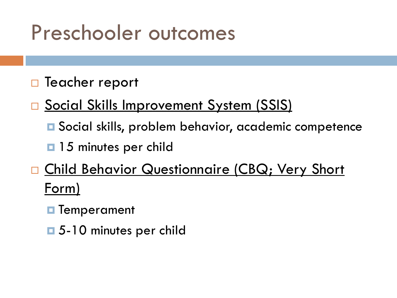### Preschooler outcomes

### □ Teacher report

- □ Social Skills Improvement System (SSIS)
	- Social skills, problem behavior, academic competence
	- **15 minutes per child**

### □ Child Behavior Questionnaire (CBQ; Very Short Form)

- **<u>n</u>** Temperament
- 5-10 minutes per child